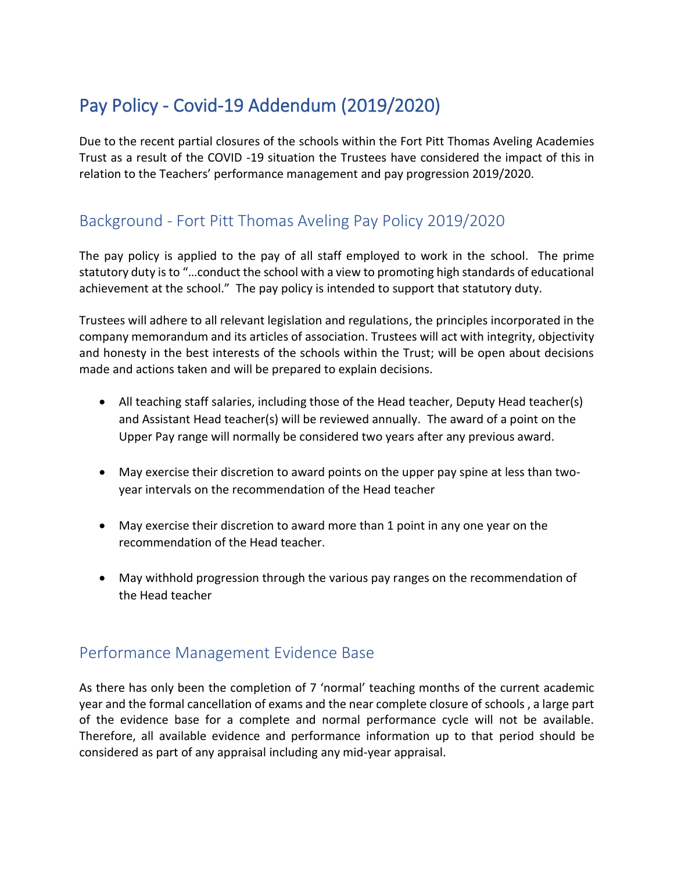# Pay Policy - Covid-19 Addendum (2019/2020)

Due to the recent partial closures of the schools within the Fort Pitt Thomas Aveling Academies Trust as a result of the COVID -19 situation the Trustees have considered the impact of this in relation to the Teachers' performance management and pay progression 2019/2020.

# Background - Fort Pitt Thomas Aveling Pay Policy 2019/2020

The pay policy is applied to the pay of all staff employed to work in the school. The prime statutory duty is to "…conduct the school with a view to promoting high standards of educational achievement at the school." The pay policy is intended to support that statutory duty.

Trustees will adhere to all relevant legislation and regulations, the principles incorporated in the company memorandum and its articles of association. Trustees will act with integrity, objectivity and honesty in the best interests of the schools within the Trust; will be open about decisions made and actions taken and will be prepared to explain decisions.

- All teaching staff salaries, including those of the Head teacher, Deputy Head teacher(s) and Assistant Head teacher(s) will be reviewed annually.The award of a point on the Upper Pay range will normally be considered two years after any previous award.
- May exercise their discretion to award points on the upper pay spine at less than twoyear intervals on the recommendation of the Head teacher
- May exercise their discretion to award more than 1 point in any one year on the recommendation of the Head teacher.
- May withhold progression through the various pay ranges on the recommendation of the Head teacher

# Performance Management Evidence Base

As there has only been the completion of 7 'normal' teaching months of the current academic year and the formal cancellation of exams and the near complete closure of schools , a large part of the evidence base for a complete and normal performance cycle will not be available. Therefore, all available evidence and performance information up to that period should be considered as part of any appraisal including any mid-year appraisal.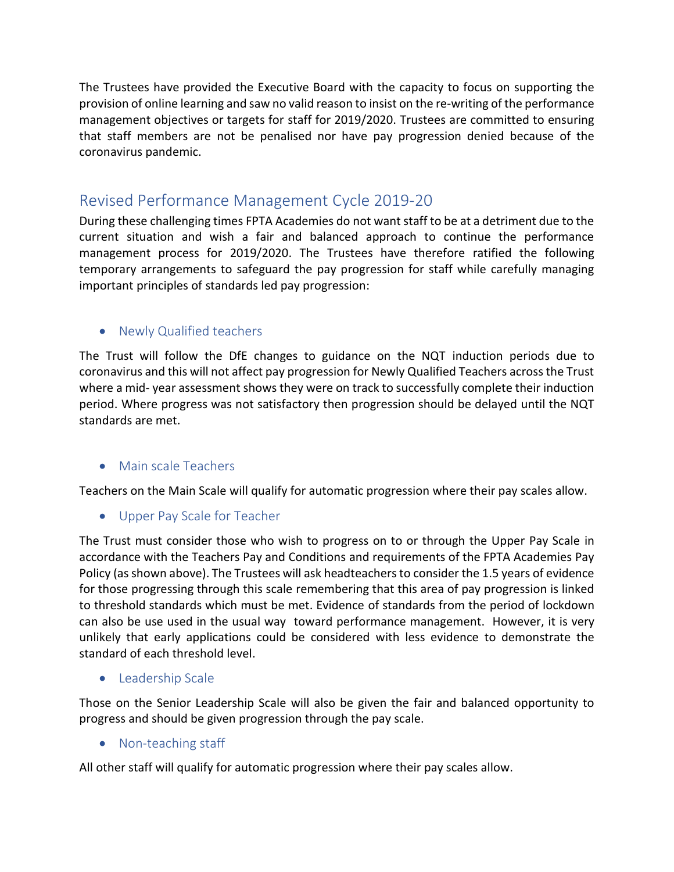The Trustees have provided the Executive Board with the capacity to focus on supporting the provision of online learning and saw no valid reason to insist on the re-writing of the performance management objectives or targets for staff for 2019/2020. Trustees are committed to ensuring that staff members are not be penalised nor have pay progression denied because of the coronavirus pandemic.

## Revised Performance Management Cycle 2019-20

During these challenging times FPTA Academies do not want staff to be at a detriment due to the current situation and wish a fair and balanced approach to continue the performance management process for 2019/2020. The Trustees have therefore ratified the following temporary arrangements to safeguard the pay progression for staff while carefully managing important principles of standards led pay progression:

### • Newly Qualified teachers

The Trust will follow the DfE changes to guidance on the NQT induction periods due to coronavirus and this will not affect pay progression for Newly Qualified Teachers across the Trust where a mid- year assessment shows they were on track to successfully complete their induction period. Where progress was not satisfactory then progression should be delayed until the NQT standards are met.

#### • Main scale Teachers

Teachers on the Main Scale will qualify for automatic progression where their pay scales allow.

• Upper Pay Scale for Teacher

The Trust must consider those who wish to progress on to or through the Upper Pay Scale in accordance with the Teachers Pay and Conditions and requirements of the FPTA Academies Pay Policy (as shown above). The Trustees will ask headteachers to consider the 1.5 years of evidence for those progressing through this scale remembering that this area of pay progression is linked to threshold standards which must be met. Evidence of standards from the period of lockdown can also be use used in the usual way toward performance management. However, it is very unlikely that early applications could be considered with less evidence to demonstrate the standard of each threshold level.

• Leadership Scale

Those on the Senior Leadership Scale will also be given the fair and balanced opportunity to progress and should be given progression through the pay scale.

• Non-teaching staff

All other staff will qualify for automatic progression where their pay scales allow.